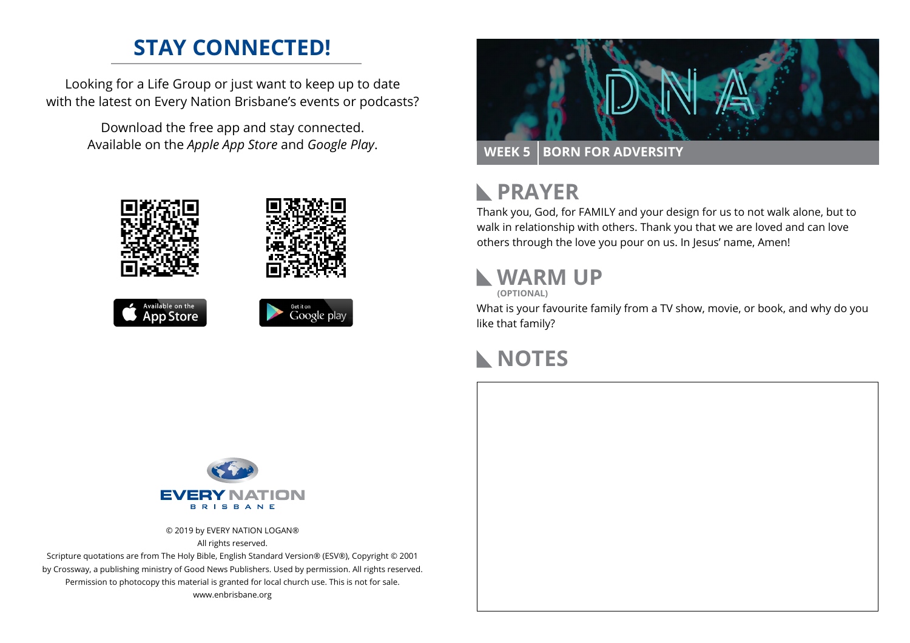# **STAY CONNECTED!**

Looking for a Life Group or just want to keep up to date with the latest on Every Nation Brisbane's events or podcasts?

> Download the free app and stay connected. Available on the *Apple App Store* and *Google Play*.



Available on the<br>**App Store** 





### **PRAYER**  $\mathbf{L}$

Thank you, God, for FAMILY and your design for us to not walk alone, but to walk in relationship with others. Thank you that we are loved and can love others through the love you pour on us. In Jesus' name, Amen!

# **WARM UP**

**(OPTIONAL)**

What is your favourite family from a TV show, movie, or book, and why do you like that family?

## **NOTES**



© 2019 by EVERY NATION LOGAN® All rights reserved.

Scripture quotations are from The Holy Bible, English Standard Version® (ESV®), Copyright © 2001 by Crossway, a publishing ministry of Good News Publishers. Used by permission. All rights reserved. Permission to photocopy this material is granted for local church use. This is not for sale. www.enbrisbane.org